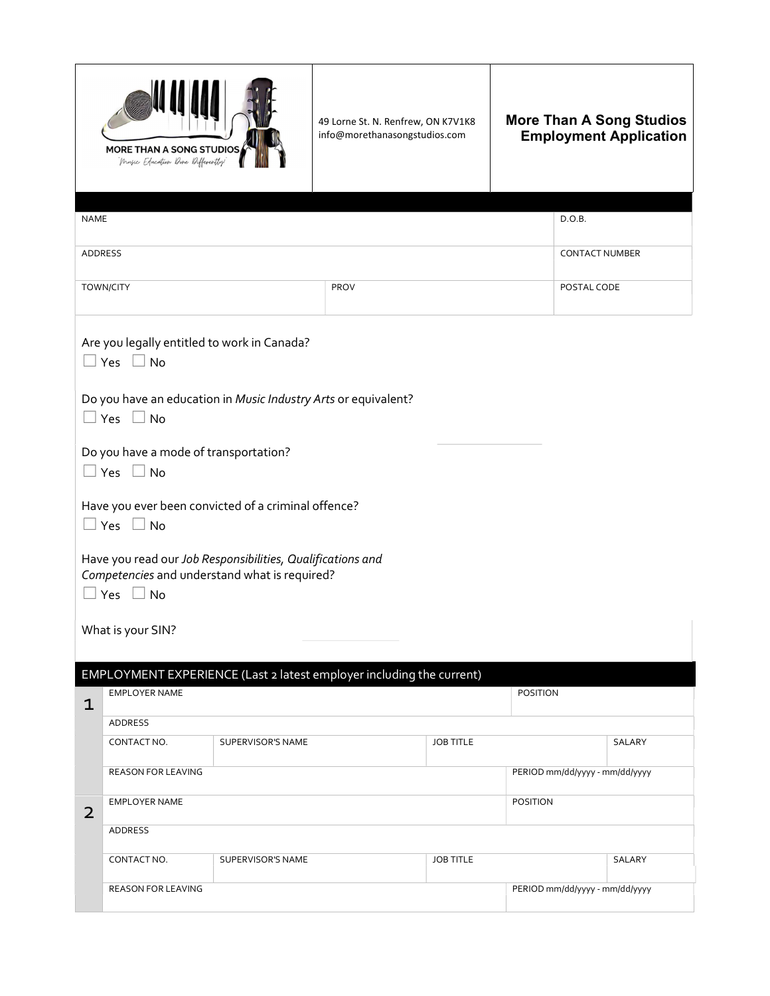|                | MORE THAN A SONG STUDIOS<br>Music Education Done Differently                                                |                   | 49 Lorne St. N. Renfrew, ON K7V1K8<br>info@morethanasongstudios.com  |                  |                                |                | <b>More Than A Song Studios</b><br><b>Employment Application</b> |  |
|----------------|-------------------------------------------------------------------------------------------------------------|-------------------|----------------------------------------------------------------------|------------------|--------------------------------|----------------|------------------------------------------------------------------|--|
| <b>NAME</b>    |                                                                                                             |                   |                                                                      |                  |                                | D.O.B.         |                                                                  |  |
| ADDRESS        |                                                                                                             |                   |                                                                      |                  |                                | CONTACT NUMBER |                                                                  |  |
|                | <b>TOWN/CITY</b>                                                                                            |                   | PROV                                                                 |                  |                                | POSTAL CODE    |                                                                  |  |
|                | Are you legally entitled to work in Canada?<br>$\Box$ Yes $\Box$ No                                         |                   |                                                                      |                  |                                |                |                                                                  |  |
|                | Do you have an education in Music Industry Arts or equivalent?<br>$\Box$ Yes $\Box$ No                      |                   |                                                                      |                  |                                |                |                                                                  |  |
|                | Do you have a mode of transportation?<br>$\Box$ Yes $\Box$ No                                               |                   |                                                                      |                  |                                |                |                                                                  |  |
|                | Have you ever been convicted of a criminal offence?<br>$\Box$ Yes $\Box$ No                                 |                   |                                                                      |                  |                                |                |                                                                  |  |
|                | Have you read our Job Responsibilities, Qualifications and<br>Competencies and understand what is required? |                   |                                                                      |                  |                                |                |                                                                  |  |
|                | $\square$ Yes $\square$ No                                                                                  |                   |                                                                      |                  |                                |                |                                                                  |  |
|                | What is your SIN?                                                                                           |                   |                                                                      |                  |                                |                |                                                                  |  |
|                |                                                                                                             |                   | EMPLOYMENT EXPERIENCE (Last 2 latest employer including the current) |                  |                                |                |                                                                  |  |
| $\mathbf 1$    | EMPLOYER NAME                                                                                               |                   |                                                                      |                  | POSITION                       |                |                                                                  |  |
|                | ADDRESS                                                                                                     |                   |                                                                      |                  |                                |                |                                                                  |  |
|                | CONTACT NO.                                                                                                 | SUPERVISOR'S NAME |                                                                      | <b>JOB TITLE</b> |                                |                | SALARY                                                           |  |
|                | REASON FOR LEAVING                                                                                          |                   |                                                                      |                  | PERIOD mm/dd/yyyy - mm/dd/yyyy |                |                                                                  |  |
| $\overline{2}$ | EMPLOYER NAME<br>POSITION                                                                                   |                   |                                                                      |                  |                                |                |                                                                  |  |
|                | <b>ADDRESS</b>                                                                                              |                   |                                                                      |                  |                                |                |                                                                  |  |
|                | <b>JOB TITLE</b><br>CONTACT NO.<br>SUPERVISOR'S NAME                                                        |                   |                                                                      |                  | SALARY                         |                |                                                                  |  |
|                | REASON FOR LEAVING                                                                                          |                   |                                                                      |                  | PERIOD mm/dd/yyyy - mm/dd/yyyy |                |                                                                  |  |
|                |                                                                                                             |                   |                                                                      |                  |                                |                |                                                                  |  |